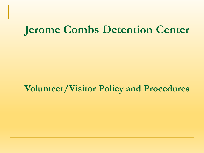### **Jerome Combs Detention Center**

#### **Volunteer/Visitor Policy and Procedures**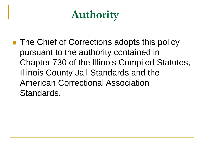# **Authority**

■ The Chief of Corrections adopts this policy pursuant to the authority contained in Chapter 730 of the Illinois Compiled Statutes, Illinois County Jail Standards and the American Correctional Association Standards.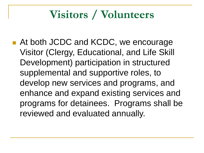### **Visitors / Volunteers**

■ At both JCDC and KCDC, we encourage Visitor (Clergy, Educational, and Life Skill Development) participation in structured supplemental and supportive roles, to develop new services and programs, and enhance and expand existing services and programs for detainees. Programs shall be reviewed and evaluated annually.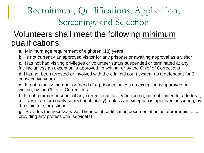### Recruitment, Qualifications, Application, Screening, and Selection

#### Volunteers shall meet the following minimum qualifications:

**a.** Minimum age requirement of eighteen (18) years

**b.** Is not currently an approved visitor for any prisoner or awaiting approval as a visitor

**c.** Has not had visiting privileges or volunteer status suspended or terminated at any facility, unless an exception is approved, in writing, or by the Chief of Corrections

**d.** Has not been arrested or involved with the criminal court system as a defendant for 2 consecutive years.

**e.** Is not a family member or friend of a prisoner, unless an exception is approved, in writing, by the Chief of Corrections

**f.** Is not a former prisoner of any correctional facility (including, but not limited to, a federal, military, state, or county correctional facility), unless an exception is approved, in writing, by the Chief of Corrections

**g.** Provides the necessary valid license of certification documentation as a prerequisite to providing any professional service(s)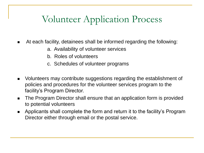### Volunteer Application Process

- At each facility, detainees shall be informed regarding the following:
	- a. Availability of volunteer services
	- b. Roles of volunteers
	- c. Schedules of volunteer programs
- Volunteers may contribute suggestions regarding the establishment of policies and procedures for the volunteer services program to the facility's Program Director.
- The Program Director shall ensure that an application form is provided to potential volunteers
- Applicants shall complete the form and return it to the facility's Program Director either through email or the postal service.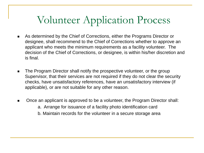### Volunteer Application Process

- As determined by the Chief of Corrections, either the Programs Director or designee, shall recommend to the Chief of Corrections whether to approve an applicant who meets the minimum requirements as a facility volunteer. The decision of the Chief of Corrections, or designee, is within his/her discretion and is final.
- The Program Director shall notify the prospective volunteer, or the group Supervisor, that their services are not required if they do not clear the security checks, have unsatisfactory references, have an unsatisfactory interview (if applicable), or are not suitable for any other reason.
- Once an applicant is approved to be a volunteer, the Program Director shall: a. Arrange for issuance of a facility photo identification card b. Maintain records for the volunteer in a secure storage area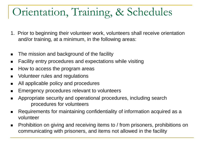- 1. Prior to beginning their volunteer work, volunteers shall receive orientation and/or training, at a minimum, in the following areas:
- The mission and background of the facility
- Facility entry procedures and expectations while visiting
- How to access the program areas
- Volunteer rules and regulations
- All applicable policy and procedures
- Emergency procedures relevant to volunteers
- Appropriate security and operational procedures, including search procedures for volunteers
- Requirements for maintaining confidentiality of information acquired as a volunteer
- Prohibition on giving and receiving items to / from prisoners, prohibitions on communicating with prisoners, and items not allowed in the facility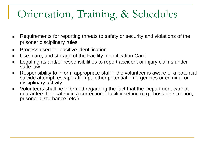- Requirements for reporting threats to safety or security and violations of the prisoner disciplinary rules
- Process used for positive identification
- Use, care, and storage of the Facility Identification Card
- Legal rights and/or responsibilities to report accident or injury claims under state law
- Responsibility to inform appropriate staff if the volunteer is aware of a potential suicide attempt, escape attempt, other potential emergencies or criminal or disciplinary activity
- Volunteers shall be informed regarding the fact that the Department cannot guarantee their safety in a correctional facility setting (e.g., hostage situation, prisoner disturbance, etc.)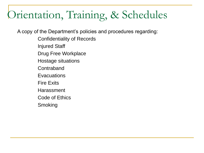A copy of the Department's policies and procedures regarding:

- Confidentiality of Records
- Injured Staff
- Drug Free Workplace
- Hostage situations
- **Contraband**
- **Evacuations**
- Fire Exits
- Harassment
- Code of Ethics
- Smoking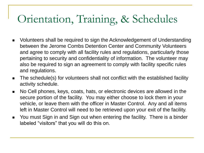- Volunteers shall be required to sign the Acknowledgement of Understanding between the Jerome Combs Detention Center and Community Volunteers and agree to comply with all facility rules and regulations, particularly those pertaining to security and confidentiality of information. The volunteer may also be required to sign an agreement to comply with facility specific rules and regulations.
- The schedule(s) for volunteers shall not conflict with the established facility activity schedule.
- No Cell phones, keys, coats, hats, or electronic devices are allowed in the secure portion of the facility. You may either choose to lock them in your vehicle, or leave them with the officer in Master Control. Any and all items left in Master Control will need to be retrieved upon your exit of the facility.
- You must Sign in and Sign out when entering the facility. There is a binder labeled "visitors" that you will do this on.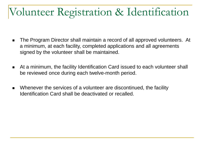## Volunteer Registration & Identification

- The Program Director shall maintain a record of all approved volunteers. At a minimum, at each facility, completed applications and all agreements signed by the volunteer shall be maintained.
- At a minimum, the facility Identification Card issued to each volunteer shall be reviewed once during each twelve-month period.
- Whenever the services of a volunteer are discontinued, the facility Identification Card shall be deactivated or recalled.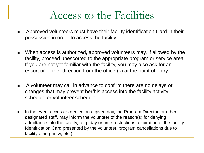### Access to the Facilities

- Approved volunteers must have their facility identification Card in their possession in order to access the facility.
- When access is authorized, approved volunteers may, if allowed by the facility, proceed unescorted to the appropriate program or service area. If you are not yet familiar with the facility, you may also ask for an escort or further direction from the officer(s) at the point of entry.
- A volunteer may call in advance to confirm there are no delays or changes that may prevent her/his access into the facility activity schedule or volunteer schedule.
- In the event access is denied on a given day, the Program Director, or other designated staff, may inform the volunteer of the reason(s) for denying admittance into the facility, (e.g. day or time restrictions, expiration of the facility Identification Card presented by the volunteer, program cancellations due to facility emergency, etc.).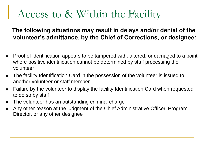### Access to & Within the Facility

#### **The following situations may result in delays and/or denial of the volunteer's admittance, by the Chief of Corrections, or designee:**

- <sup>◼</sup> Proof of identification appears to be tampered with, altered, or damaged to a point where positive identification cannot be determined by staff processing the volunteer
- The facility Identification Card in the possession of the volunteer is issued to another volunteer or staff member
- Failure by the volunteer to display the facility Identification Card when requested to do so by staff
- The volunteer has an outstanding criminal charge
- Any other reason at the judgment of the Chief Administrative Officer, Program Director, or any other designee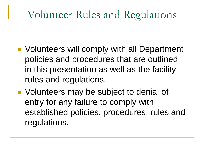### Volunteer Rules and Regulations

- Volunteers will comply with all Department policies and procedures that are outlined in this presentation as well as the facility rules and regulations.
- Volunteers may be subject to denial of entry for any failure to comply with established policies, procedures, rules and regulations.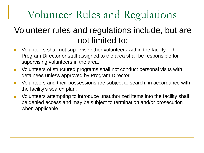# Volunteer Rules and Regulations

#### Volunteer rules and regulations include, but are not limited to:

- Volunteers shall not supervise other volunteers within the facility. The Program Director or staff assigned to the area shall be responsible for supervising volunteers in the area.
- Volunteers of structured programs shall not conduct personal visits with detainees unless approved by Program Director.
- Volunteers and their possessions are subject to search, in accordance with the facility's search plan.
- Volunteers attempting to introduce unauthorized items into the facility shall be denied access and may be subject to termination and/or prosecution when applicable.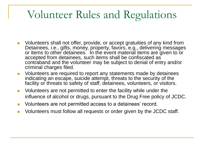## Volunteer Rules and Regulations

- Volunteers shall not offer, provide, or accept gratuities of any kind from Detainees, i.e., gifts, money, property, favors, e.g., delivering messages or items to other detainees. In the event material items are given to or accepted from detainees, such items shall be confiscated as contraband and the volunteer may be subject to denial of entry and/or criminal charges filed.
- Volunteers are required to report any statements made by detainees indicating an escape, suicide attempt, threats to the security of the facility or threats to safety of staff, detainees, volunteers, or visitors.
- Volunteers are not permitted to enter the facility while under the influence of alcohol or drugs, pursuant to the Drug Free policy of JCDC.
- Volunteers are not permitted access to a detainees' record.
- Volunteers must follow all requests or order given by the JCDC staff.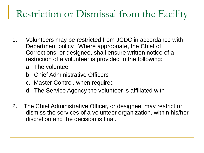### Restriction or Dismissal from the Facility

- 1. Volunteers may be restricted from JCDC in accordance with Department policy. Where appropriate, the Chief of Corrections, or designee, shall ensure written notice of a restriction of a volunteer is provided to the following:
	- a. The volunteer
	- b. Chief Administrative Officers
	- c. Master Control, when required
	- d. The Service Agency the volunteer is affiliated with
- 2. The Chief Administrative Officer, or designee, may restrict or dismiss the services of a volunteer organization, within his/her discretion and the decision is final.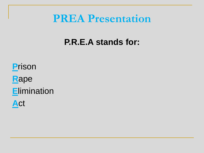#### **PREA Presentation**

#### **P.R.E.A stands for:**

**P**rison **R**ape **E**limination **A**ct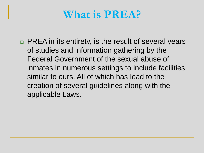### **What is PREA?**

❑ PREA in its entirety, is the result of several years of studies and information gathering by the Federal Government of the sexual abuse of inmates in numerous settings to include facilities similar to ours. All of which has lead to the creation of several guidelines along with the applicable Laws.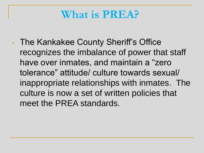### **What is PREA?**

• The Kankakee County Sheriff's Office recognizes the imbalance of power that staff have over inmates, and maintain a "zero tolerance" attitude/ culture towards sexual/ inappropriate relationships with inmates. The culture is now a set of written policies that meet the PREA standards.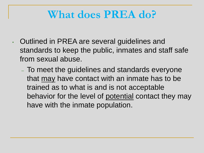### **What does PREA do?**

- Outlined in PREA are several guidelines and standards to keep the public, inmates and staff safe from sexual abuse.
	- To meet the guidelines and standards everyone that may have contact with an inmate has to be trained as to what is and is not acceptable behavior for the level of potential contact they may have with the inmate population.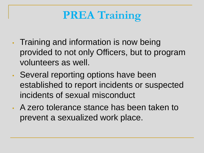# **PREA Training**

- Training and information is now being provided to not only Officers, but to program volunteers as well.
- Several reporting options have been established to report incidents or suspected incidents of sexual misconduct
- A zero tolerance stance has been taken to prevent a sexualized work place.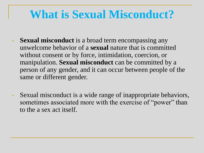### **What is Sexual Misconduct?**

- **Sexual misconduct** is a broad term encompassing any unwelcome behavior of a **sexual** nature that is committed without consent or by force, intimidation, coercion, or manipulation. **Sexual misconduct** can be committed by a person of any gender, and it can occur between people of the same or different gender.
- Sexual misconduct is a wide range of inappropriate behaviors, sometimes associated more with the exercise of "power" than to the a sex act itself.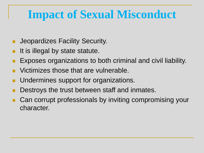# **Impact of Sexual Misconduct**

- Jeopardizes Facility Security.
- It is illegal by state statute.
- Exposes organizations to both criminal and civil liability.
- Victimizes those that are vulnerable.
- Undermines support for organizations.
- Destroys the trust between staff and inmates.
- Can corrupt professionals by inviting compromising your character.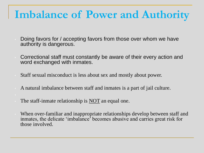### **Imbalance of Power and Authority**

- Doing favors for / accepting favors from those over whom we have authority is dangerous.
- Correctional staff must constantly be aware of their every action and word exchanged with inmates.
- Staff sexual misconduct is less about sex and mostly about power.
- A natural imbalance between staff and inmates is a part of jail culture.
- The staff-inmate relationship is  $\overline{NOT}$  an equal one.
- When over-familiar and inappropriate relationships develop between staff and inmates, the delicate 'imbalance' becomes abusive and carries great risk for those involved.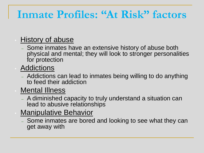### **Inmate Profiles: "At Risk" factors**

#### • History of abuse

– Some inmates have an extensive history of abuse both physical and mental; they will look to stronger personalities for protection

**Addictions** 

– Addictions can lead to inmates being willing to do anything to feed their addiction

#### **Mental Illness**

- A diminished capacity to truly understand a situation can lead to abusive relationships
- **Manipulative Behavior** 
	- Some inmates are bored and looking to see what they can get away with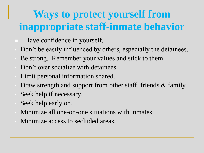## **Ways to protect yourself from inappropriate staff-inmate behavior**

- Have confidence in yourself.
- Don't be easily influenced by others, especially the detainees.
- Be strong. Remember your values and stick to them.
- Don't over socialize with detainees.
- Limit personal information shared.
- Draw strength and support from other staff, friends & family.
- Seek help if necessary.
- Seek help early on.
- Minimize all one-on-one situations with inmates.
- Minimize access to secluded areas.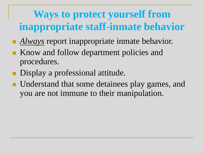# **Ways to protect yourself from inappropriate staff-inmate behavior**

- *Always* report inappropriate inmate behavior.
- Know and follow department policies and procedures.
- Display a professional attitude.
- Understand that some detainees play games, and you are not immune to their manipulation.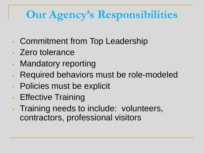# **Our Agency's Responsibilities**

- Commitment from Top Leadership
- Zero tolerance
- Mandatory reporting
- Required behaviors must be role-modeled
- Policies must be explicit
- Effective Training
- Training needs to include: volunteers, contractors, professional visitors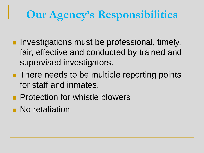# **Our Agency's Responsibilities**

- Investigations must be professional, timely, fair, effective and conducted by trained and supervised investigators.
- There needs to be multiple reporting points for staff and inmates.
- Protection for whistle blowers
- No retaliation